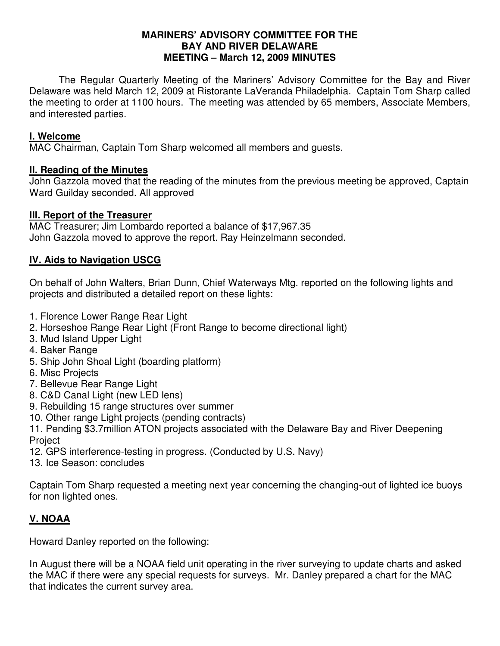### **MARINERS' ADVISORY COMMITTEE FOR THE BAY AND RIVER DELAWARE MEETING – March 12, 2009 MINUTES**

 The Regular Quarterly Meeting of the Mariners' Advisory Committee for the Bay and River Delaware was held March 12, 2009 at Ristorante LaVeranda Philadelphia. Captain Tom Sharp called the meeting to order at 1100 hours. The meeting was attended by 65 members, Associate Members, and interested parties.

### **I. Welcome**

MAC Chairman, Captain Tom Sharp welcomed all members and guests.

### **II. Reading of the Minutes**

John Gazzola moved that the reading of the minutes from the previous meeting be approved, Captain Ward Guilday seconded. All approved

# **III. Report of the Treasurer**

MAC Treasurer; Jim Lombardo reported a balance of \$17,967.35 John Gazzola moved to approve the report. Ray Heinzelmann seconded.

# **IV. Aids to Navigation USCG**

On behalf of John Walters, Brian Dunn, Chief Waterways Mtg. reported on the following lights and projects and distributed a detailed report on these lights:

- 1. Florence Lower Range Rear Light
- 2. Horseshoe Range Rear Light (Front Range to become directional light)
- 3. Mud Island Upper Light
- 4. Baker Range
- 5. Ship John Shoal Light (boarding platform)
- 6. Misc Projects
- 7. Bellevue Rear Range Light
- 8. C&D Canal Light (new LED lens)
- 9. Rebuilding 15 range structures over summer
- 10. Other range Light projects (pending contracts)

11. Pending \$3.7million ATON projects associated with the Delaware Bay and River Deepening Project

- 12. GPS interference-testing in progress. (Conducted by U.S. Navy)
- 13. Ice Season: concludes

Captain Tom Sharp requested a meeting next year concerning the changing-out of lighted ice buoys for non lighted ones.

# **V. NOAA**

Howard Danley reported on the following:

In August there will be a NOAA field unit operating in the river surveying to update charts and asked the MAC if there were any special requests for surveys. Mr. Danley prepared a chart for the MAC that indicates the current survey area.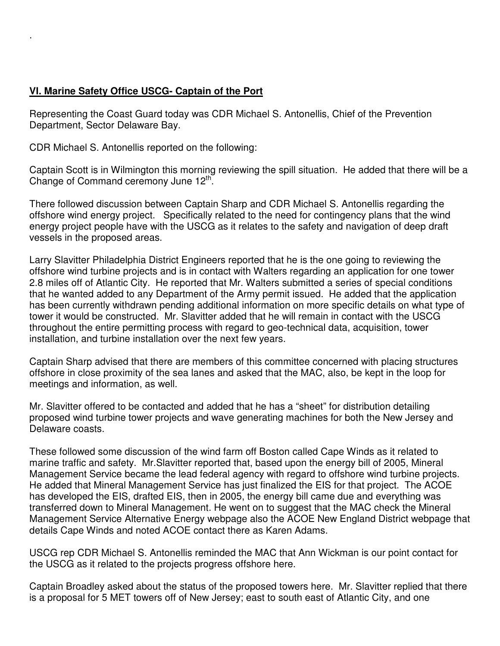# **VI. Marine Safety Office USCG- Captain of the Port**

.

Representing the Coast Guard today was CDR Michael S. Antonellis, Chief of the Prevention Department, Sector Delaware Bay.

CDR Michael S. Antonellis reported on the following:

Captain Scott is in Wilmington this morning reviewing the spill situation. He added that there will be a Change of Command ceremony June 12<sup>th</sup>.

There followed discussion between Captain Sharp and CDR Michael S. Antonellis regarding the offshore wind energy project. Specifically related to the need for contingency plans that the wind energy project people have with the USCG as it relates to the safety and navigation of deep draft vessels in the proposed areas.

Larry Slavitter Philadelphia District Engineers reported that he is the one going to reviewing the offshore wind turbine projects and is in contact with Walters regarding an application for one tower 2.8 miles off of Atlantic City. He reported that Mr. Walters submitted a series of special conditions that he wanted added to any Department of the Army permit issued. He added that the application has been currently withdrawn pending additional information on more specific details on what type of tower it would be constructed. Mr. Slavitter added that he will remain in contact with the USCG throughout the entire permitting process with regard to geo-technical data, acquisition, tower installation, and turbine installation over the next few years.

Captain Sharp advised that there are members of this committee concerned with placing structures offshore in close proximity of the sea lanes and asked that the MAC, also, be kept in the loop for meetings and information, as well.

Mr. Slavitter offered to be contacted and added that he has a "sheet" for distribution detailing proposed wind turbine tower projects and wave generating machines for both the New Jersey and Delaware coasts.

These followed some discussion of the wind farm off Boston called Cape Winds as it related to marine traffic and safety. Mr.Slavitter reported that, based upon the energy bill of 2005, Mineral Management Service became the lead federal agency with regard to offshore wind turbine projects. He added that Mineral Management Service has just finalized the EIS for that project. The ACOE has developed the EIS, drafted EIS, then in 2005, the energy bill came due and everything was transferred down to Mineral Management. He went on to suggest that the MAC check the Mineral Management Service Alternative Energy webpage also the ACOE New England District webpage that details Cape Winds and noted ACOE contact there as Karen Adams.

USCG rep CDR Michael S. Antonellis reminded the MAC that Ann Wickman is our point contact for the USCG as it related to the projects progress offshore here.

Captain Broadley asked about the status of the proposed towers here. Mr. Slavitter replied that there is a proposal for 5 MET towers off of New Jersey; east to south east of Atlantic City, and one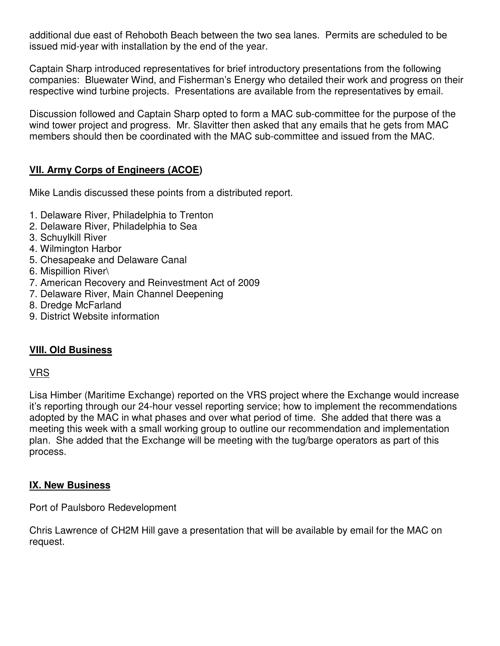additional due east of Rehoboth Beach between the two sea lanes. Permits are scheduled to be issued mid-year with installation by the end of the year.

Captain Sharp introduced representatives for brief introductory presentations from the following companies: Bluewater Wind, and Fisherman's Energy who detailed their work and progress on their respective wind turbine projects. Presentations are available from the representatives by email.

Discussion followed and Captain Sharp opted to form a MAC sub-committee for the purpose of the wind tower project and progress. Mr. Slavitter then asked that any emails that he gets from MAC members should then be coordinated with the MAC sub-committee and issued from the MAC.

# **VII. Army Corps of Engineers (ACOE)**

Mike Landis discussed these points from a distributed report.

- 1. Delaware River, Philadelphia to Trenton
- 2. Delaware River, Philadelphia to Sea
- 3. Schuylkill River
- 4. Wilmington Harbor
- 5. Chesapeake and Delaware Canal
- 6. Mispillion River\
- 7. American Recovery and Reinvestment Act of 2009
- 7. Delaware River, Main Channel Deepening
- 8. Dredge McFarland
- 9. District Website information

### **VIII. Old Business**

### VRS

Lisa Himber (Maritime Exchange) reported on the VRS project where the Exchange would increase it's reporting through our 24-hour vessel reporting service; how to implement the recommendations adopted by the MAC in what phases and over what period of time. She added that there was a meeting this week with a small working group to outline our recommendation and implementation plan. She added that the Exchange will be meeting with the tug/barge operators as part of this process.

### **IX. New Business**

Port of Paulsboro Redevelopment

Chris Lawrence of CH2M Hill gave a presentation that will be available by email for the MAC on request.